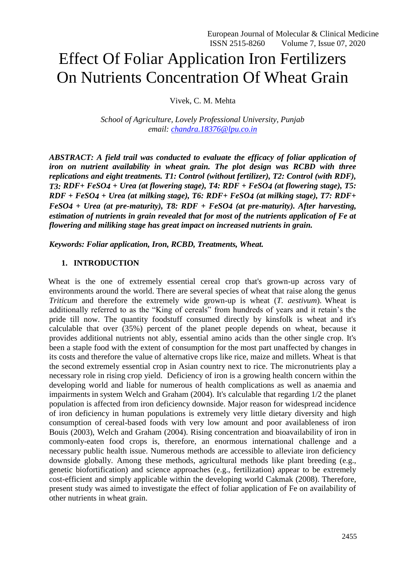# Effect Of Foliar Application Iron Fertilizers On Nutrients Concentration Of Wheat Grain

Vivek, C. M. Mehta

*School of Agriculture, Lovely Professional University, Punjab email: [chandra.18376@lpu.co.in](mailto:chandra.18376@lpu.co.in)*

*ABSTRACT: A field trail was conducted to evaluate the efficacy of foliar application of iron on nutrient availability in wheat grain. The plot design was RCBD with three replications and eight treatments. T1: Control (without fertilizer), T2: Control (with RDF), T3: RDF+ FeSO4 + Urea (at flowering stage), T4: RDF + FeSO4 (at flowering stage), T5: RDF + FeSO4 + Urea (at milking stage), T6: RDF+ FeSO4 (at milking stage), T7: RDF+ FeSO4 + Urea (at pre-maturity), T8: RDF + FeSO4 (at pre-maturity). After harvesting, estimation of nutrients in grain revealed that for most of the nutrients application of Fe at flowering and miliking stage has great impact on increased nutrients in grain.* 

*Keywords: Foliar application, Iron, RCBD, Treatments, Wheat.*

### **1. INTRODUCTION**

Wheat is the one of extremely essential cereal crop that's grown-up across vary of environments around the world. There are several species of wheat that raise along the genus *Triticum* and therefore the extremely wide grown-up is wheat (*T. aestivum*). Wheat is additionally referred to as the "King of cereals" from hundreds of years and it retain's the pride till now. The quantity foodstuff consumed directly by kinsfolk is wheat and it's calculable that over (35%) percent of the planet people depends on wheat, because it provides additional nutrients not ably, essential amino acids than the other single crop. It's been a staple food with the extent of consumption for the most part unaffected by changes in its costs and therefore the value of alternative crops like rice, maize and millets. Wheat is that the second extremely essential crop in Asian country next to rice. The micronutrients play a necessary role in rising crop yield. Deficiency of iron is a growing health concern within the developing world and liable for numerous of health complications as well as anaemia and impairments in system Welch and Graham (2004). It's calculable that regarding 1/2 the planet population is affected from iron deficiency downside. Major reason for widespread incidence of iron deficiency in human populations is extremely very little dietary diversity and high consumption of cereal-based foods with very low amount and poor availableness of iron Bouis (2003), Welch and Graham (2004). Rising concentration and bioavailability of iron in commonly-eaten food crops is, therefore, an enormous international challenge and a necessary public health issue. Numerous methods are accessible to alleviate iron deficiency downside globally. Among these methods, agricultural methods like plant breeding (e.g., genetic biofortification) and science approaches (e.g., fertilization) appear to be extremely cost-efficient and simply applicable within the developing world Cakmak (2008). Therefore, present study was aimed to investigate the effect of foliar application of Fe on availability of other nutrients in wheat grain.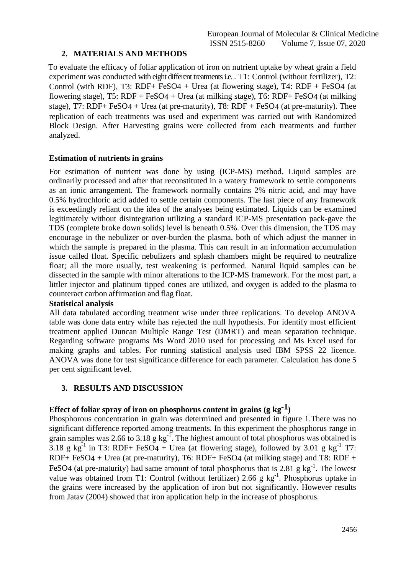### **2. MATERIALS AND METHODS**

To evaluate the efficacy of foliar application of iron on nutrient uptake by wheat grain a field experiment was conducted with eight different treatments i.e. . T1: Control (without fertilizer), T2: Control (with RDF), T3: RDF+  $FeSO4 + Urea$  (at flowering stage), T4: RDF +  $FeSO4$  (at flowering stage), T5: RDF + FeSO4 + Urea (at milking stage), T6: RDF+ FeSO4 (at milking stage), T7: RDF+  $FeSO4 + Urea$  (at pre-maturity), T8: RDF +  $FeSO4$  (at pre-maturity). Thee replication of each treatments was used and experiment was carried out with Randomized Block Design. After Harvesting grains were collected from each treatments and further analyzed.

### **Estimation of nutrients in grains**

For estimation of nutrient was done by using (ICP-MS) method. Liquid samples are ordinarily processed and after that reconstituted in a watery framework to settle components as an ionic arrangement. The framework normally contains 2% nitric acid, and may have 0.5% hydrochloric acid added to settle certain components. The last piece of any framework is exceedingly reliant on the idea of the analyses being estimated. Liquids can be examined legitimately without disintegration utilizing a standard ICP-MS presentation pack-gave the TDS (complete broke down solids) level is beneath 0.5%. Over this dimension, the TDS may encourage in the nebulizer or over-burden the plasma, both of which adjust the manner in which the sample is prepared in the plasma. This can result in an information accumulation issue called float. Specific nebulizers and splash chambers might be required to neutralize float; all the more usually, test weakening is performed. Natural liquid samples can be dissected in the sample with minor alterations to the ICP-MS framework. For the most part, a littler injector and platinum tipped cones are utilized, and oxygen is added to the plasma to counteract carbon affirmation and flag float.

#### **Statistical analysis**

All data tabulated according treatment wise under three replications. To develop ANOVA table was done data entry while has rejected the null hypothesis. For identify most efficient treatment applied Duncan Multiple Range Test (DMRT) and mean separation technique. Regarding software programs Ms Word 2010 used for processing and Ms Excel used for making graphs and tables. For running statistical analysis used IBM SPSS 22 licence. ANOVA was done for test significance difference for each parameter. Calculation has done 5 per cent significant level.

### **3. RESULTS AND DISCUSSION**

### **Effect of foliar spray of iron on phosphorus content in grains**  $(g \ kg^{-1})$

Phosphorous concentration in grain was determined and presented in figure 1.There was no significant difference reported among treatments. In this experiment the phosphorus range in grain samples was 2.66 to 3.18 g  $kg^{-1}$ . The highest amount of total phosphorus was obtained is 3.18 g kg<sup>-1</sup> in T3: RDF+ FeSO4 + Urea (at flowering stage), followed by 3.01 g kg<sup>-1</sup> T7: RDF+ FeSO4 + Urea (at pre-maturity), T6: RDF+ FeSO4 (at milking stage) and T8: RDF + FeSO4 (at pre-maturity) had same amount of total phosphorus that is 2.81 g  $kg^{-1}$ . The lowest value was obtained from T1: Control (without fertilizer) 2.66 g  $kg^{-1}$ . Phosphorus uptake in the grains were increased by the application of iron but not significantly. However results from Jatav (2004) showed that iron application help in the increase of phosphorus.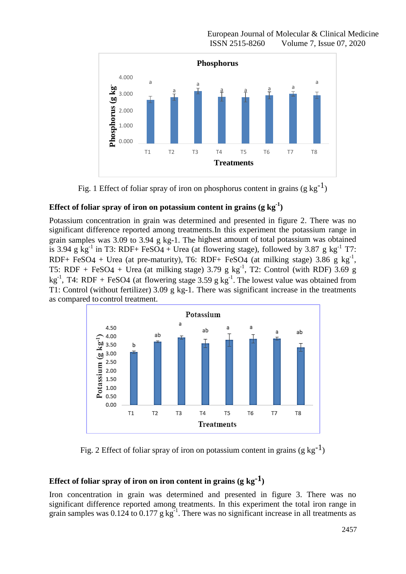

Fig. 1 Effect of foliar spray of iron on phosphorus content in grains (g  $kg^{-1}$ )

### Effect of foliar spray of iron on potassium content in grains  $(g~\mathrm{kg}^{-1})$

Potassium concentration in grain was determined and presented in figure 2. There was no significant difference reported among treatments.In this experiment the potassium range in grain samples was 3.09 to 3.94 g kg-1. The highest amount of total potassium was obtained is 3.94 g  $\text{kg}^{-1}$  in T3: RDF+ FeSO4 + Urea (at flowering stage), followed by 3.87 g  $\text{kg}^{-1}$  T7: RDF+ FeSO4 + Urea (at pre-maturity), T6: RDF+ FeSO4 (at milking stage) 3.86 g  $kg^{-1}$ , T5: RDF + FeSO4 + Urea (at milking stage) 3.79 g  $kg^{-1}$ , T2: Control (with RDF) 3.69 g kg<sup>-1</sup>, T4: RDF + FeSO4 (at flowering stage 3.59 g kg<sup>-1</sup>. The lowest value was obtained from T1: Control (without fertilizer) 3.09 g kg-1. There was significant increase in the treatments as compared to control treatment.



Fig. 2 Effect of foliar spray of iron on potassium content in grains (g  $kg^{-1}$ )

# **Effect of foliar spray of iron on iron content in grains (g kg-1)**

Iron concentration in grain was determined and presented in figure 3. There was no significant difference reported among treatments. In this experiment the total iron range in grain samples was 0.124 to 0.177 g  $kg^{-1}$ . There was no significant increase in all treatments as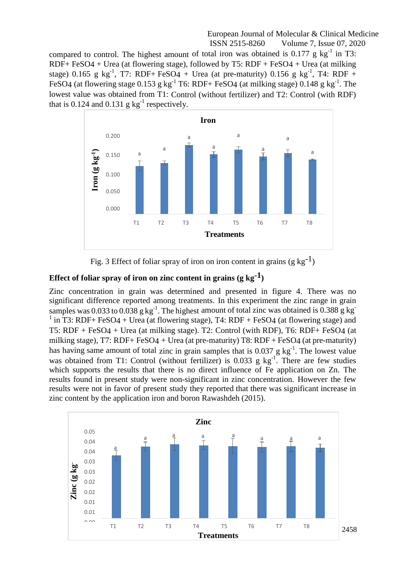#### European Journal of Molecular & Clinical Medicine ISSN 2515-8260 Volume 7, Issue 07, 2020

compared to control. The highest amount of total iron was obtained is  $0.177$  g kg<sup>-1</sup> in T3: RDF+ FeSO4 + Urea (at flowering stage), followed by T5: RDF + FeSO4 + Urea (at milking stage) 0.165 g  $kg^{-1}$ , T7: RDF+ FeSO4 + Urea (at pre-maturity) 0.156 g  $kg^{-1}$ , T4: RDF + FeSO4 (at flowering stage  $0.153$  g kg<sup>-1</sup> T6: RDF+ FeSO4 (at milking stage)  $0.148$  g kg<sup>-1</sup>. The lowest value was obtained from T1: Control (without fertilizer) and T2: Control (with RDF) that is 0.124 and 0.131  $g \text{ kg}^{-1}$  respectively.



Fig. 3 Effect of foliar spray of iron on iron content in grains  $(g \ kg^{-1})$ 

# **Effect of foliar spray of iron on zinc content in grains (g kg-1)**

Zinc concentration in grain was determined and presented in figure 4. There was no significant difference reported among treatments. In this experiment the zinc range in grain samples was 0.033 to 0.038 g kg<sup>-1</sup>. The highest amount of total zinc was obtained is 0.388 g kg<sup>-1</sup>  $1$  in T3: RDF+ FeSO4 + Urea (at flowering stage), T4: RDF + FeSO4 (at flowering stage) and T5: RDF + FeSO4 + Urea (at milking stage). T2: Control (with RDF), T6: RDF+ FeSO4 (at milking stage), T7: RDF+ FeSO4 + Urea (at pre-maturity) T8: RDF + FeSO4 (at pre-maturity) has having same amount of total zinc in grain samples that is  $0.037$  g  $\text{kg}^{-1}$ . The lowest value was obtained from T1: Control (without fertilizer) is 0.033 g kg<sup>-1</sup>. There are few studies which supports the results that there is no direct influence of Fe application on Zn. The results found in present study were non-significant in zinc concentration. However the few results were not in favor of present study they reported that there was significant increase in zinc content by the application iron and boron Rawashdeh (2015).

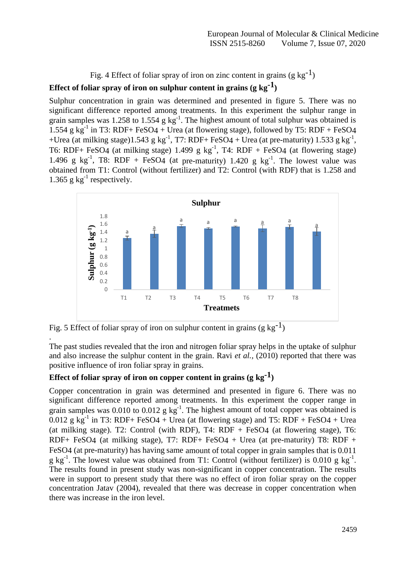Fig. 4 Effect of foliar spray of iron on zinc content in grains  $(g \ kg^{-1})$ 

### **Effect of foliar spray of iron on sulphur content in grains (g kg-1)**

Sulphur concentration in grain was determined and presented in figure 5. There was no significant difference reported among treatments. In this experiment the sulphur range in grain samples was 1.258 to 1.554 g  $kg^{-1}$ . The highest amount of total sulphur was obtained is 1.554 g  $kg^{-1}$  in T3: RDF+ FeSO4 + Urea (at flowering stage), followed by T5: RDF + FeSO4 +Urea (at milking stage)1.543 g  $kg^{-1}$ , T7: RDF+ FeSO4 + Urea (at pre-maturity) 1.533 g  $kg^{-1}$ , T6: RDF+ FeSO4 (at milking stage)  $1.499$  g kg<sup>-1</sup>, T4: RDF + FeSO4 (at flowering stage) 1.496 g  $\text{kg}^{-1}$ , T8: RDF + FeSO4 (at pre-maturity) 1.420 g  $\text{kg}^{-1}$ . The lowest value was obtained from T1: Control (without fertilizer) and T2: Control (with RDF) that is 1.258 and 1.365  $g kg^{-1}$  respectively.



Fig. 5 Effect of foliar spray of iron on sulphur content in grains (g  $kg^{-1}$ )

. The past studies revealed that the iron and nitrogen foliar spray helps in the uptake of sulphur and also increase the sulphur content in the grain. Ravi *et al.,* (2010) reported that there was positive influence of iron foliar spray in grains.

### **Effect of foliar spray of iron on copper content in grains (g kg-1)**

Copper concentration in grain was determined and presented in figure 6. There was no significant difference reported among treatments. In this experiment the copper range in grain samples was 0.010 to 0.012  $g \text{ kg}^{-1}$ . The highest amount of total copper was obtained is  $0.012$  g kg<sup>-1</sup> in T3: RDF+ FeSO4 + Urea (at flowering stage) and T5: RDF + FeSO4 + Urea (at milking stage). T2: Control (with RDF), T4: RDF + FeSO4 (at flowering stage), T6: RDF+ FeSO4 (at milking stage), T7: RDF+ FeSO4 + Urea (at pre-maturity) T8: RDF + FeSO4 (at pre-maturity) has having same amount of total copper in grain samples that is 0.011 g kg<sup>-1</sup>. The lowest value was obtained from T1: Control (without fertilizer) is 0.010 g kg<sup>-1</sup>. The results found in present study was non-significant in copper concentration. The results were in support to present study that there was no effect of iron foliar spray on the copper concentration Jatav (2004), revealed that there was decrease in copper concentration when there was increase in the iron level.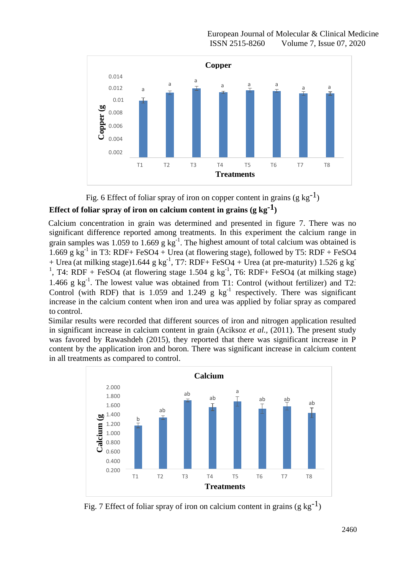

Fig. 6 Effect of foliar spray of iron on copper content in grains  $(g \ kg^{-1})$ 

### **Effect of foliar spray of iron on calcium content in grains**  $(g \ kg^{-1})$

Calcium concentration in grain was determined and presented in figure 7. There was no significant difference reported among treatments. In this experiment the calcium range in grain samples was 1.059 to 1.669 g  $kg^{-1}$ . The highest amount of total calcium was obtained is 1.669 g  $kg^{-1}$  in T3: RDF+ FeSO4 + Urea (at flowering stage), followed by T5: RDF + FeSO4 + Urea (at milking stage)1.644 g  $kg^{-1}$ , T7: RDF+ FeSO4 + Urea (at pre-maturity) 1.526 g kg<sup>-</sup> <sup>1</sup>, T4: RDF + FeSO4 (at flowering stage 1.504 g kg<sup>-1</sup>, T6: RDF+ FeSO4 (at milking stage) 1.466 g  $kg^{-1}$ . The lowest value was obtained from T1: Control (without fertilizer) and T2: Control (with RDF) that is 1.059 and 1.249 g  $kg^{-1}$  respectively. There was significant increase in the calcium content when iron and urea was applied by foliar spray as compared to control.

Similar results were recorded that different sources of iron and nitrogen application resulted in significant increase in calcium content in grain (Aciksoz *et al.,* (2011). The present study was favored by Rawashdeh (2015), they reported that there was significant increase in P content by the application iron and boron. There was significant increase in calcium content in all treatments as compared to control.



Fig. 7 Effect of foliar spray of iron on calcium content in grains (g kg<sup>-1</sup>)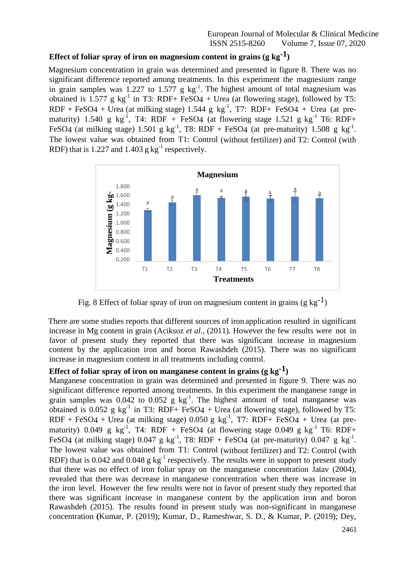### **Effect of foliar spray of iron on magnesium content in grains (g**  $kg^{-1}$ **)**

Magnesium concentration in grain was determined and presented in figure 8. There was no significant difference reported among treatments. In this experiment the magnesium range in grain samples was 1.227 to 1.577 g  $kg^{-1}$ . The highest amount of total magnesium was obtained is 1.577 g  $kg^{-1}$  in T3: RDF+ FeSO4 + Urea (at flowering stage), followed by T5:  $RDF + FeSO4 + Urea$  (at milking stage) 1.544 g kg<sup>-1</sup>, T7: RDF+ FeSO4 + Urea (at prematurity) 1.540 g  $kg^{-1}$ , T4: RDF + FeSO4 (at flowering stage 1.521 g  $kg^{-1}$  T6: RDF+ FeSO4 (at milking stage)  $1.501$  g kg<sup>-1</sup>, T8: RDF + FeSO4 (at pre-maturity)  $1.508$  g kg<sup>-1</sup>. The lowest value was obtained from T1: Control (without fertilizer) and T2: Control (with RDF) that is 1.227 and 1.403  $g kg^{-1}$  respectively.



Fig. 8 Effect of foliar spray of iron on magnesium content in grains (g kg<sup>-1</sup>)

There are some studies reports that different sources of iron application resulted in significant increase in Mg content in grain (Aciksoz *et al.,* (2011). However the few results were not in favor of present study they reported that there was significant increase in magnesium content by the application iron and boron Rawashdeh (2015). There was no significant increase in magnesium content in all treatments including control.

### **Effect of foliar spray of iron on manganese content in grains (g**  $kg^{-1}$ **)**

Manganese concentration in grain was determined and presented in figure 9. There was no significant difference reported among treatments. In this experiment the manganese range in grain samples was  $0.042$  to  $0.052$  g kg<sup>-1</sup>. The highest amount of total manganese was obtained is 0.052 g  $kg^{-1}$  in T3: RDF+ FeSO4 + Urea (at flowering stage), followed by T5:  $RDF + FeSO4 + Urea$  (at milking stage) 0.050 g kg<sup>-1</sup>, T7: RDF+ FeSO4 + Urea (at prematurity) 0.049 g  $kg^{-1}$ , T4: RDF + FeSO4 (at flowering stage 0.049 g  $kg^{-1}$  T6: RDF+ FeSO4 (at milking stage)  $0.047$  g kg<sup>-1</sup>, T8: RDF + FeSO4 (at pre-maturity)  $0.047$  g kg<sup>-1</sup>. The lowest value was obtained from T1: Control (without fertilizer) and T2: Control (with RDF) that is 0.042 and 0.048  $g kg^{-1}$  respectively. The results were in support to present study that there was no effect of iron foliar spray on the manganese concentration Jatav (2004), revealed that there was decrease in manganese concentration when there was increase in the iron level. However the few results were not in favor of present study they reported that there was significant increase in manganese content by the application iron and boron Rawashdeh (2015). The results found in present study was non-significant in manganese concentration **(**Kumar, P. (2019); Kumar, D., Rameshwar, S. D., & Kumar, P. (2019); Dey,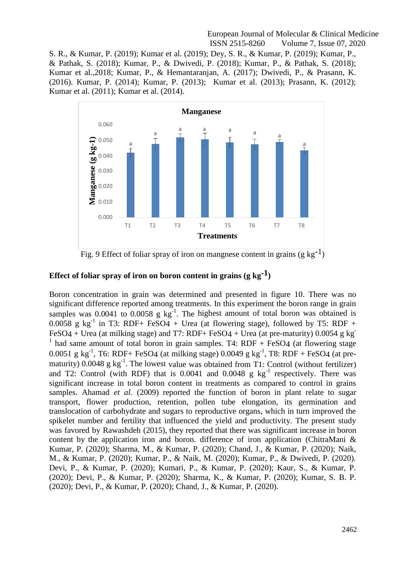European Journal of Molecular & Clinical Medicine ISSN 2515-8260 Volume 7, Issue 07, 2020

S. R., & Kumar, P. (2019); Kumar et al. (2019); Dey, S. R., & Kumar, P. (2019); Kumar, P., & Pathak, S. (2018); Kumar, P., & Dwivedi, P. (2018); Kumar, P., & Pathak, S. (2018); Kumar et al.,2018; Kumar, P., & Hemantaranjan, A. (2017); Dwivedi, P., & Prasann, K. (2016). Kumar, P. (2014); Kumar, P. (2013); Kumar et al. (2013); Prasann, K. (2012); Kumar et al. (2011); Kumar et al. (2014).



Fig. 9 Effect of foliar spray of iron on mangnese content in grains (g kg<sup>-1</sup>)

### **Effect of foliar spray of iron on boron content in grains (g**  $kg^{-1}$ **)**

Boron concentration in grain was determined and presented in figure 10. There was no significant difference reported among treatments. In this experiment the boron range in grain samples was 0.0041 to 0.0058 g  $kg^{-1}$ . The highest amount of total boron was obtained is 0.0058 g kg<sup>-1</sup> in T3: RDF+ FeSO4 + Urea (at flowering stage), followed by T5: RDF + FeSO4 + Urea (at milking stage) and T7: RDF+ FeSO4 + Urea (at pre-maturity)  $0.0054$  g kg  $<sup>1</sup>$  had same amount of total boron in grain samples. T4: RDF + FeSO4 (at flowering stage</sup> 0.0051 g kg<sup>-1</sup>, T6: RDF+ FeSO4 (at milking stage) 0.0049 g kg<sup>-1</sup>, T8: RDF + FeSO4 (at prematurity) 0.0048 g  $kg^{-1}$ . The lowest value was obtained from T1: Control (without fertilizer) and T2: Control (with RDF) that is  $0.0041$  and  $0.0048$  g kg<sup>-1</sup> respectively. There was significant increase in total boron content in treatments as compared to control in grains samples. Ahamad *et al.* (2009) reported the function of boron in plant relate to sugar transport, flower production, retention, pollen tube elongation, its germination and translocation of carbohydrate and sugars to reproductive organs, which in turn improved the spikelet number and fertility that influenced the yield and productivity. The present study was favored by Rawashdeh (2015), they reported that there was significant increase in boron content by the application iron and boron. difference of iron application (ChitraMani & Kumar, P. (2020); Sharma, M., & Kumar, P. (2020); Chand, J., & Kumar, P. (2020); Naik, M., & Kumar, P. (2020); Kumar, P., & Naik, M. (2020); Kumar, P., & Dwivedi, P. (2020). Devi, P., & Kumar, P. (2020); Kumari, P., & Kumar, P. (2020); Kaur, S., & Kumar, P. (2020); Devi, P., & Kumar, P. (2020); Sharma, K., & Kumar, P. (2020); Kumar, S. B. P. (2020); Devi, P., & Kumar, P. (2020); Chand, J., & Kumar, P. (2020).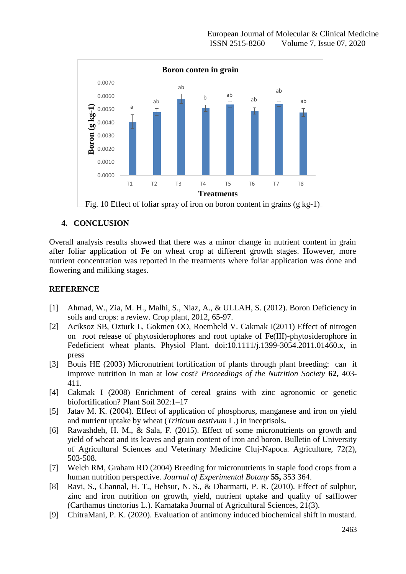

### **4. CONCLUSION**

Overall analysis results showed that there was a minor change in nutrient content in grain after foliar application of Fe on wheat crop at different growth stages. However, more nutrient concentration was reported in the treatments where foliar application was done and flowering and miliking stages.

### **REFERENCE**

- [1] Ahmad, W., Zia, M. H., Malhi, S., Niaz, A., & ULLAH, S. (2012). Boron Deficiency in soils and crops: a review. Crop plant, 2012, 65-97.
- [2] Aciksoz SB, Ozturk L, Gokmen OO, Roemheld V. Cakmak I(2011) Effect of nitrogen on root release of phytosiderophores and root uptake of Fe(III)-phytosiderophore in Fedeficient wheat plants. Physiol Plant. doi:10.1111/j.1399-3054.2011.01460.x, in press
- [3] Bouis HE (2003) Micronutrient fortification of plants through plant breeding: can it improve nutrition in man at low cost? *Proceedings of the Nutrition Society* **62,** 403- 411.
- [4] Cakmak I (2008) Enrichment of cereal grains with zinc agronomic or genetic biofortification? Plant Soil 302:1–17
- [5] Jatav M. K. (2004). Effect of application of phosphorus, manganese and iron on yield and nutrient uptake by wheat (*Triticum aestivum* L.) in inceptisols**.**
- [6] Rawashdeh, H. M., & Sala, F. (2015). Effect of some micronutrients on growth and yield of wheat and its leaves and grain content of iron and boron. Bulletin of University of Agricultural Sciences and Veterinary Medicine Cluj-Napoca. Agriculture, 72(2), 503-508.
- [7] Welch RM, Graham RD (2004) Breeding for micronutrients in staple food crops from a human nutrition perspective. *Journal of Experimental Botany* **55,** 353 364.
- [8] Ravi, S., Channal, H. T., Hebsur, N. S., & Dharmatti, P. R. (2010). Effect of sulphur, zinc and iron nutrition on growth, yield, nutrient uptake and quality of safflower (Carthamus tinctorius L.). Karnataka Journal of Agricultural Sciences, 21(3).
- [9] ChitraMani, P. K. (2020). Evaluation of antimony induced biochemical shift in mustard.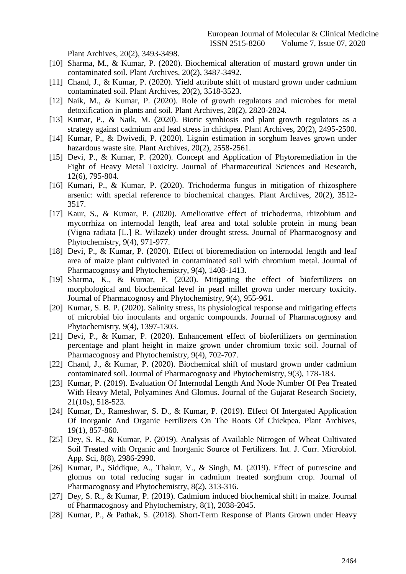Plant Archives, 20(2), 3493-3498.

- [10] Sharma, M., & Kumar, P. (2020). Biochemical alteration of mustard grown under tin contaminated soil. Plant Archives, 20(2), 3487-3492.
- [11] Chand, J., & Kumar, P. (2020). Yield attribute shift of mustard grown under cadmium contaminated soil. Plant Archives, 20(2), 3518-3523.
- [12] Naik, M., & Kumar, P. (2020). Role of growth regulators and microbes for metal detoxification in plants and soil. Plant Archives, 20(2), 2820-2824.
- [13] Kumar, P., & Naik, M. (2020). Biotic symbiosis and plant growth regulators as a strategy against cadmium and lead stress in chickpea. Plant Archives, 20(2), 2495-2500.
- [14] Kumar, P., & Dwivedi, P. (2020). Lignin estimation in sorghum leaves grown under hazardous waste site. Plant Archives, 20(2), 2558-2561.
- [15] Devi, P., & Kumar, P. (2020). Concept and Application of Phytoremediation in the Fight of Heavy Metal Toxicity. Journal of Pharmaceutical Sciences and Research, 12(6), 795-804.
- [16] Kumari, P., & Kumar, P. (2020). Trichoderma fungus in mitigation of rhizosphere arsenic: with special reference to biochemical changes. Plant Archives, 20(2), 3512- 3517.
- [17] Kaur, S., & Kumar, P. (2020). Ameliorative effect of trichoderma, rhizobium and mycorrhiza on internodal length, leaf area and total soluble protein in mung bean (Vigna radiata [L.] R. Wilazek) under drought stress. Journal of Pharmacognosy and Phytochemistry, 9(4), 971-977.
- [18] Devi, P., & Kumar, P. (2020). Effect of bioremediation on internodal length and leaf area of maize plant cultivated in contaminated soil with chromium metal. Journal of Pharmacognosy and Phytochemistry, 9(4), 1408-1413.
- [19] Sharma, K., & Kumar, P. (2020). Mitigating the effect of biofertilizers on morphological and biochemical level in pearl millet grown under mercury toxicity. Journal of Pharmacognosy and Phytochemistry, 9(4), 955-961.
- [20] Kumar, S. B. P. (2020). Salinity stress, its physiological response and mitigating effects of microbial bio inoculants and organic compounds. Journal of Pharmacognosy and Phytochemistry, 9(4), 1397-1303.
- [21] Devi, P., & Kumar, P. (2020). Enhancement effect of biofertilizers on germination percentage and plant height in maize grown under chromium toxic soil. Journal of Pharmacognosy and Phytochemistry, 9(4), 702-707.
- [22] Chand, J., & Kumar, P. (2020). Biochemical shift of mustard grown under cadmium contaminated soil. Journal of Pharmacognosy and Phytochemistry, 9(3), 178-183.
- [23] Kumar, P. (2019). Evaluation Of Internodal Length And Node Number Of Pea Treated With Heavy Metal, Polyamines And Glomus. Journal of the Gujarat Research Society, 21(10s), 518-523.
- [24] Kumar, D., Rameshwar, S. D., & Kumar, P. (2019). Effect Of Intergated Application Of Inorganic And Organic Fertilizers On The Roots Of Chickpea. Plant Archives, 19(1), 857-860.
- [25] Dey, S. R., & Kumar, P. (2019). Analysis of Available Nitrogen of Wheat Cultivated Soil Treated with Organic and Inorganic Source of Fertilizers. Int. J. Curr. Microbiol. App. Sci, 8(8), 2986-2990.
- [26] Kumar, P., Siddique, A., Thakur, V., & Singh, M. (2019). Effect of putrescine and glomus on total reducing sugar in cadmium treated sorghum crop. Journal of Pharmacognosy and Phytochemistry, 8(2), 313-316.
- [27] Dey, S. R., & Kumar, P. (2019). Cadmium induced biochemical shift in maize. Journal of Pharmacognosy and Phytochemistry, 8(1), 2038-2045.
- [28] Kumar, P., & Pathak, S. (2018). Short-Term Response of Plants Grown under Heavy